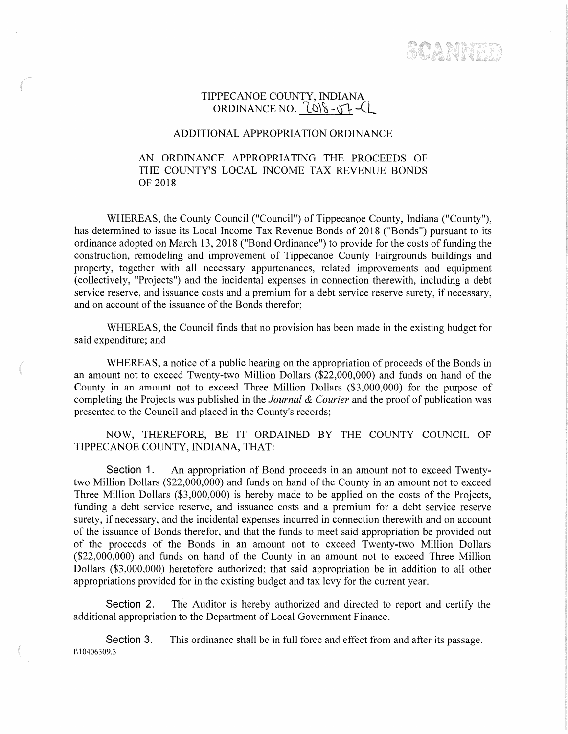SCANNEL

## TIPPECANOE COUNTY, INDIANA ORDINANCE NO.  $\frac{1}{9}$ .  $\frac{1}{9}$ .

## ADDITIONAL APPROPRIATION ORDINANCE

## AN ORDINANCE APPROPRIATING THE PROCEEDS OF THE COUNTY'S LOCAL INCOME TAX REVENUE BONDS OF 2018

WHEREAS, the County Council ("Council") of Tippecanoe County, Indiana ("County"), has determined to issue its Local Income Tax Revenue Bonds of 2018 ("Bonds") pursuant to its ordinance adopted on March 13, 2018 ("Bond Ordinance") to provide for the costs of funding the construction, remodeling and improvement of Tippecanoe County Fairgrounds buildings and property, together with all necessary appurtenances, related improvements and equipment (collectively, "Projects") and the incidental expenses in connection therewith, including a debt service reserve, and issuance costs and a premium for a debt service reserve surety, if necessary, and on account of the issuance of the Bonds therefor;

WHEREAS, the Council finds that no provision has been made in the existing budget for said expenditure; and

WHEREAS, a notice of a public hearing on the appropriation of proceeds of the Bonds in an amount not to exceed Twenty-two Million Dollars (\$22,000,000) and funds on hand of the County in an amount not to exceed Three Million Dollars (\$3,000,000) for the purpose of completing the Projects was published in the *Journal & Courier* and the proof of publication was presented to the Council and placed in the County's records;

NOW, THEREFORE, BE IT ORDAINED BY THE COUNTY COUNCIL OF TIPPECANOE COUNTY, INDIANA, THAT:

**Section 1.** An appropriation of Bond proceeds in an amount not to exceed Twentytwo Million Dollars (\$22,000,000) and funds on hand of the County in an amount not to exceed Three Million Dollars (\$3,000,000) is hereby made to be applied on the costs of the Projects, funding a debt service reserve, and issuance costs and a premium for a debt service reserve surety, if necessary, and the incidental expenses incurred in connection therewith and on account of the issuance of Bonds therefor, and that the funds to meet said appropriation be provided out of the proceeds of the Bonds in an amount not to exceed Twenty-two Million Dollars (\$22,000,000) and funds on hand of the County in an amount not to exceed Three Million Dollars (\$3,000,000) heretofore authorized; that said appropriation be in addition to all other appropriations provided for in the existing budget and tax levy for the current year.

**Section 2.** The Auditor is hereby authorized and directed to report and certify the additional appropriation to the Department of Local Government Finance.

**Section** 3. This ordinance shall be in full force and effect from and after its passage. I\10406309.3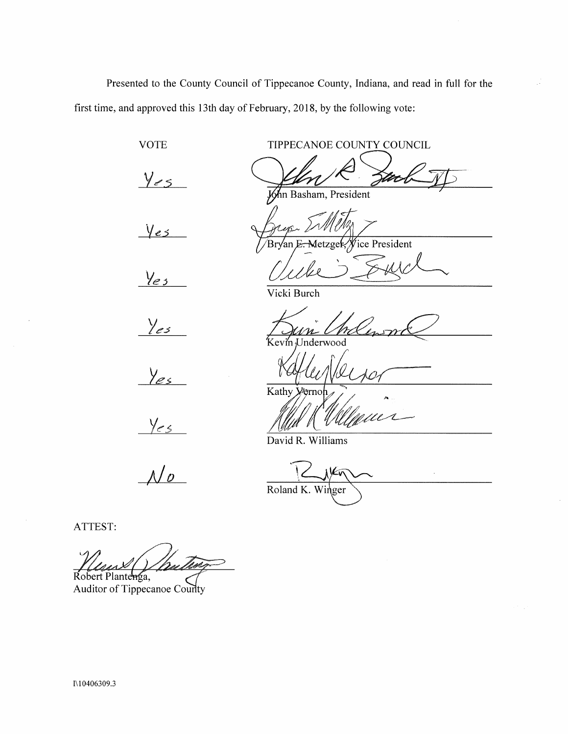Presented to the County Council of Tippecanoe County, Indiana, and read in full for the first time, and approved this 13th day of February, 2018, by the following vote:

> TIPPECANOE COUNTY COUNCIL  $Y_{es}$ An Basham, President ice President 'Br√an  $y_{es}$ Vicki Burch Kevin Underwood

> > Kathy yerno

David R. Williams

 $Y_{es}$ 

Yes

**VOTE** 

 $y_{es}$ 

 $Y_{es}$ 

 $\frac{1}{\sqrt{2}}$ 

Roland K. Winger

DC

ATTEST:

Robert Plantenga,

Auditor of Tippecanoe County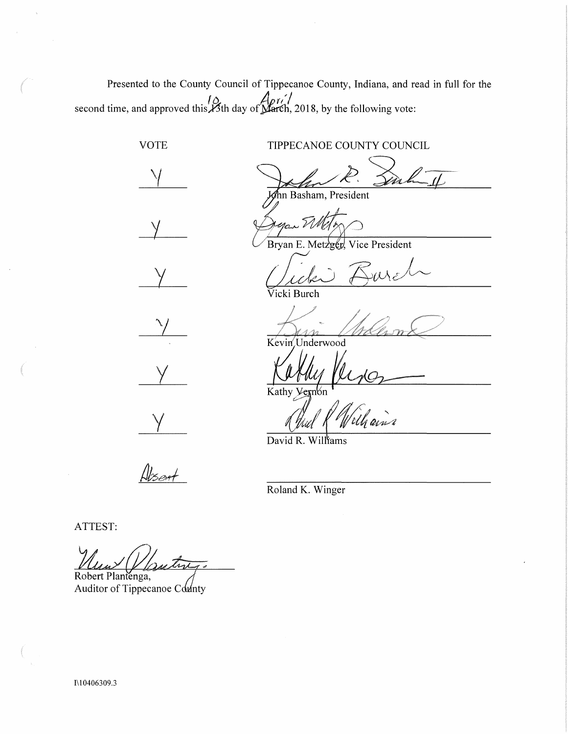Presented to the County Council of Tippecanoe County, Indiana, and read in full for the second time, and approved this *Apri/*<br>second time, and approved this *A*sth day of **March**, 2018, by the following vote:

VOTE TIPPECANOE COUNTY COUNCIL *'(*  Ann Basham, President  $\sqrt{ }$ Bryan E. Metzger, Vice President *c/Z0*  Vicki Burch ra<br>1  $\sqrt{}$ Kevin Underwood y

y

 $\overline{\text{Kathy}}$ Vernon

David R. Willfams

<u>Alsent</u>

Roland K. Winger

ATTEST:

Robert Plantenga,

Auditor of Tippecanoe County